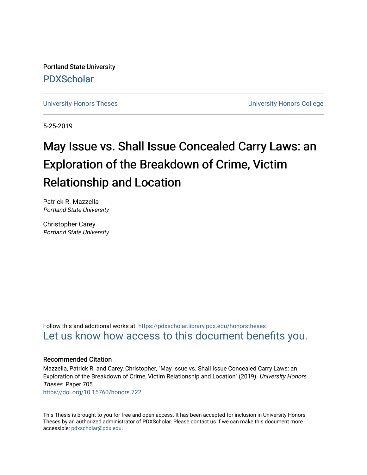Portland State University [PDXScholar](https://pdxscholar.library.pdx.edu/)

[University Honors Theses](https://pdxscholar.library.pdx.edu/honorstheses) [University Honors College](https://pdxscholar.library.pdx.edu/honors) 

5-25-2019

# May Issue vs. Shall Issue Concealed Carry Laws: an Exploration of the Breakdown of Crime, Victim Relationship and Location

Patrick R. Mazzella Portland State University

Christopher Carey Portland State University

Follow this and additional works at: [https://pdxscholar.library.pdx.edu/honorstheses](https://pdxscholar.library.pdx.edu/honorstheses?utm_source=pdxscholar.library.pdx.edu%2Fhonorstheses%2F705&utm_medium=PDF&utm_campaign=PDFCoverPages)  [Let us know how access to this document benefits you.](http://library.pdx.edu/services/pdxscholar-services/pdxscholar-feedback/) 

## Recommended Citation

Mazzella, Patrick R. and Carey, Christopher, "May Issue vs. Shall Issue Concealed Carry Laws: an Exploration of the Breakdown of Crime, Victim Relationship and Location" (2019). University Honors Theses. Paper 705.

<https://doi.org/10.15760/honors.722>

This Thesis is brought to you for free and open access. It has been accepted for inclusion in University Honors Theses by an authorized administrator of PDXScholar. Please contact us if we can make this document more accessible: [pdxscholar@pdx.edu.](mailto:pdxscholar@pdx.edu)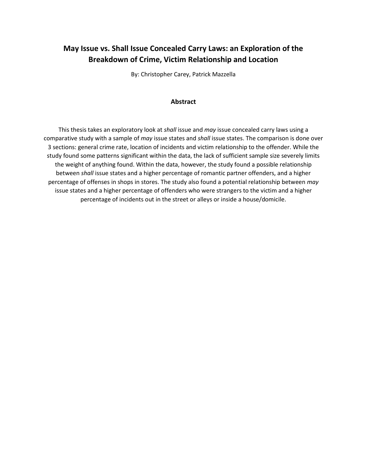# **May Issue vs. Shall Issue Concealed Carry Laws: an Exploration of the Breakdown of Crime, Victim Relationship and Location**

By: Christopher Carey, Patrick Mazzella

#### **Abstract**

This thesis takes an exploratory look at *shall* issue and *may* issue concealed carry laws using a comparative study with a sample of *may* issue states and *shall* issue states. The comparison is done over 3 sections: general crime rate, location of incidents and victim relationship to the offender. While the study found some patterns significant within the data, the lack of sufficient sample size severely limits the weight of anything found. Within the data, however, the study found a possible relationship between *shall* issue states and a higher percentage of romantic partner offenders, and a higher percentage of offenses in shops in stores. The study also found a potential relationship between *may* issue states and a higher percentage of offenders who were strangers to the victim and a higher percentage of incidents out in the street or alleys or inside a house/domicile.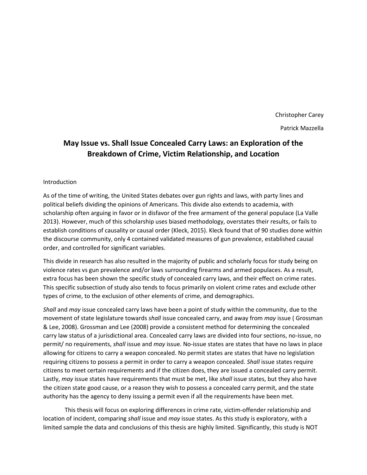Christopher Carey Patrick Mazzella

# **May Issue vs. Shall Issue Concealed Carry Laws: an Exploration of the Breakdown of Crime, Victim Relationship, and Location**

#### Introduction

As of the time of writing, the United States debates over gun rights and laws, with party lines and political beliefs dividing the opinions of Americans. This divide also extends to academia, with scholarship often arguing in favor or in disfavor of the free armament of the general populace (La Valle 2013). However, much of this scholarship uses biased methodology, overstates their results, or fails to establish conditions of causality or causal order (Kleck, 2015). Kleck found that of 90 studies done within the discourse community, only 4 contained validated measures of gun prevalence, established causal order, and controlled for significant variables.

This divide in research has also resulted in the majority of public and scholarly focus for study being on violence rates vs gun prevalence and/or laws surrounding firearms and armed populaces. As a result, extra focus has been shown the specific study of concealed carry laws, and their effect on crime rates. This specific subsection of study also tends to focus primarily on violent crime rates and exclude other types of crime, to the exclusion of other elements of crime, and demographics.

*Shall* and *may* issue concealed carry laws have been a point of study within the community, due to the movement of state legislature towards *shall* issue concealed carry, and away from *may* issue ( Grossman & Lee, 2008). Grossman and Lee (2008) provide a consistent method for determining the concealed carry law status of a jurisdictional area. Concealed carry laws are divided into four sections, no-issue, no permit/ no requirements, *shall* issue and *may* issue. No-issue states are states that have no laws in place allowing for citizens to carry a weapon concealed. No permit states are states that have no legislation requiring citizens to possess a permit in order to carry a weapon concealed. *Shall* issue states require citizens to meet certain requirements and if the citizen does, they are issued a concealed carry permit. Lastly, *may* issue states have requirements that must be met, like *shall* issue states, but they also have the citizen state good cause, or a reason they wish to possess a concealed carry permit, and the state authority has the agency to deny issuing a permit even if all the requirements have been met.

This thesis will focus on exploring differences in crime rate, victim-offender relationship and location of incident, comparing *shall* issue and *may* issue states. As this study is exploratory, with a limited sample the data and conclusions of this thesis are highly limited. Significantly, this study is NOT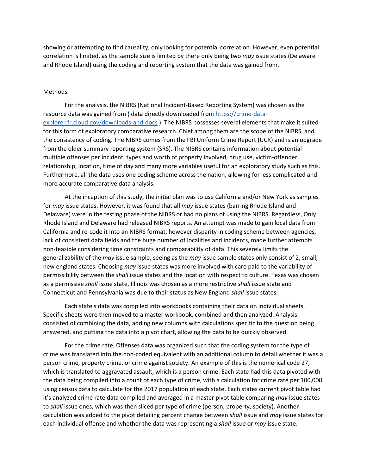showing or attempting to find causality, only looking for potential correlation. However, even potential correlation is limited, as the sample size is limited by there only being two *may* issue states (Delaware and Rhode Island) using the coding and reporting system that the data was gained from.

#### Methods

For the analysis, the NIBRS (National Incident-Based Reporting System) was chosen as the resource data was gained from ( data directly downloaded fro[m https://crime-data](https://crime-data-explorer.fr.cloud.gov/downloads-and-docs)[explorer.fr.cloud.gov/downloads-and-docs](https://crime-data-explorer.fr.cloud.gov/downloads-and-docs) ). The NIBRS possesses several elements that make it suited for this form of exploratory comparative research. Chief among them are the scope of the NIBRS, and the consistency of coding. The NIBRS comes from the FBI Uniform Crime Report (UCR) and is an upgrade from the older summary reporting system (SRS). The NIBRS contains information about potential multiple offenses per incident, types and worth of property involved, drug use, victim-offender relationship, location, time of day and many more variables useful for an exploratory study such as this. Furthermore, all the data uses one coding scheme across the nation, allowing for less complicated and more accurate comparative data analysis.

At the inception of this study, the initial plan was to use California and/or New York as samples for *may* issue states. However, it was found that all *may* issue states (barring Rhode Island and Delaware) were in the testing phase of the NIBRS or had no plans of using the NIBRS. Regardless, Only Rhode Island and Delaware had released NIBRS reports. An attempt was made to gain local data from California and re-code it into an NIBRS format, however disparity in coding scheme between agencies, lack of consistent data fields and the huge number of localities and incidents, made further attempts non-feasible considering time constraints and comparability of data. This severely limits the generalizability of the *may* issue sample, seeing as the *may* issue sample states only consist of 2, small, new england states. Choosing *may* issue states was more involved with care paid to the variability of permissibility between the *shall* issue states and the location with respect to culture. Texas was chosen as a permissive *shall* issue state, Illinois was chosen as a more restrictive *shall* issue state and Connecticut and Pennsylvania was due to their status as New England *shall* issue states.

Each state's data was compiled into workbooks containing their data on individual sheets. Specific sheets were then moved to a master workbook, combined and then analyzed. Analysis consisted of combining the data, adding new columns with calculations specific to the question being answered, and putting the data into a pivot chart, allowing the data to be quickly observed.

For the crime rate, Offenses data was organized such that the coding system for the type of crime was translated into the non-coded equivalent with an additional column to detail whether it was a person crime, property crime, or crime against society. An example of this is the numerical code 27, which is translated to aggravated assault, which is a person crime. Each state had this data pivoted with the data being compiled into a count of each type of crime, with a calculation for crime rate per 100,000 using census data to calculate for the 2017 population of each state. Each states current pivot table had it's analyzed crime rate data compiled and averaged in a master pivot table comparing *may* issue states to *shall* issue ones, which was then sliced per type of crime (person, property, society). Another calculation was added to the pivot detailing percent change between *shall* issue and *may* issue states for each individual offense and whether the data was representing a *shall* issue or *may* issue state.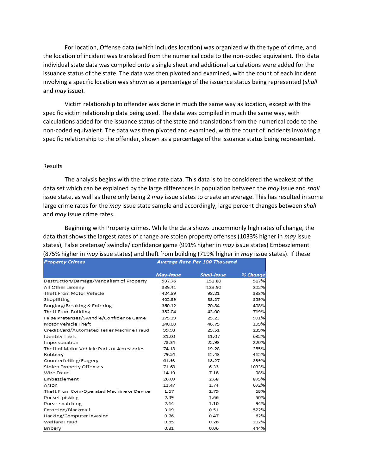For location, Offense data (which includes location) was organized with the type of crime, and the location of incident was translated from the numerical code to the non-coded equivalent. This data individual state data was compiled onto a single sheet and additional calculations were added for the issuance status of the state. The data was then pivoted and examined, with the count of each incident involving a specific location was shown as a percentage of the issuance status being represented (*shall* and *may* issue).

Victim relationship to offender was done in much the same way as location, except with the specific victim relationship data being used. The data was compiled in much the same way, with calculations added for the issuance status of the state and translations from the numerical code to the non-coded equivalent. The data was then pivoted and examined, with the count of incidents involving a specific relationship to the offender, shown as a percentage of the issuance status being represented.

#### Results

The analysis begins with the crime rate data. This data is to be considered the weakest of the data set which can be explained by the large differences in population between the *may* issue and *shall* issue state, as well as there only being 2 *may* issue states to create an average. This has resulted in some large crime rates for the *may* issue state sample and accordingly, large percent changes between *shall* and *may* issue crime rates.

Beginning with Property crimes. While the data shows uncommonly high rates of change, the data that shows the largest rates of change are stolen property offenses (1033% higher in *may* issue states), False pretense/ swindle/ confidence game (991% higher in *may* issue states) Embezzlement (875% higher in *may* issue states) and theft from building (719% higher in *may* issue states). If these

| <b>Property Crimes</b>                      | Average Rate Per 100 Thousand |                    |          |
|---------------------------------------------|-------------------------------|--------------------|----------|
|                                             | May-Issue                     | <b>Shall-Issue</b> | % Change |
| Destruction/Damage/Vandalism of Property    | 937.76                        | 151.89             | 517%     |
| All Other Larceny                           | 389.41                        | 128.90             | 202%     |
| Theft From Motor Vehicle                    | 424.89                        | 98.21              | 333%     |
| Shoplifting                                 | 405.39                        | 88.27              | 359%     |
| Burglary/Breaking & Entering                | 360.12                        | 70.84              | 408%     |
| Theft From Building                         | 352.04                        | 43.00              | 719%     |
| False Pretenses/Swindle/Confidence Game     | 275.39                        | 25.23              | 991%     |
| Motor Vehicle Theft                         | 140.00                        | 46.75              | 199%     |
| Credit Card/Automated Teller Machine Fraud  | 99.98                         | 29.51              | 239%     |
| <b>Identity Theft</b>                       | 81.00                         | 11.07              | 632%     |
| Impersonation                               | 73.34                         | 22.93              | 220%     |
| Theft of Motor Vehicle Parts or Accessories | 74.18                         | 19.28              | 285%     |
| Robbery                                     | 79.54                         | 15.43              | 415%     |
| Counterfeiting/Forgery                      | 61.93                         | 18.27              | 239%     |
| Stolen Property Offenses                    | 71.68                         | 6.33               | 1033%    |
| Wire Fraud                                  | 14.19                         | 7.18               | 98%      |
| Embezzlement                                | 26.09                         | 2.68               | 875%     |
| Arson                                       | 13.47                         | 1.74               | 672%     |
| Theft From Coin-Operated Machine or Device  | 1.67                          | 2.79               | 68%      |
| Pocket-picking                              | 2.49                          | 1.66               | 50%      |
| Purse-snatching                             | 2.14                          | 1.10               | 94%      |
| Extortion/Blackmail                         | 3.19                          | 0.51               | 522%     |
| Hacking/Computer Invasion                   | 0.76                          | 0.47               | 62%      |
| Welfare Fraud                               | 0.85                          | 0.28               | 202%     |
| Bribery                                     | 0.31                          | 0.06               | 444%     |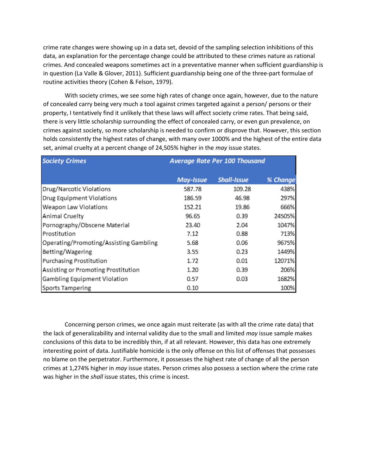crime rate changes were showing up in a data set, devoid of the sampling selection inhibitions of this data, an explanation for the percentage change could be attributed to these crimes nature as rational crimes. And concealed weapons sometimes act in a preventative manner when sufficient guardianship is in question (La Valle & Glover, 2011). Sufficient guardianship being one of the three-part formulae of routine activities theory (Cohen & Felson, 1979).

With society crimes, we see some high rates of change once again, however, due to the nature of concealed carry being very much a tool against crimes targeted against a person/ persons or their property, I tentatively find it unlikely that these laws will affect society crime rates. That being said, there is very little scholarship surrounding the effect of concealed carry, or even gun prevalence, on crimes against society, so more scholarship is needed to confirm or disprove that. However, this section holds consistently the highest rates of change, with many over 1000% and the highest of the entire data set, animal cruelty at a percent change of 24,505% higher in the *may* issue states.

| <b>Society Crimes</b>                  | <b>Average Rate Per 100 Thousand</b> |                    |          |
|----------------------------------------|--------------------------------------|--------------------|----------|
|                                        | <b>May-Issue</b>                     | <b>Shall-Issue</b> | % Change |
| Drug/Narcotic Violations               | 587.78                               | 109.28             | 438%     |
| <b>Drug Equipment Violations</b>       | 186.59                               | 46.98              | 297%     |
| Weapon Law Violations                  | 152.21                               | 19.86              | 666%     |
| Animal Cruelty                         | 96.65                                | 0.39               | 24505%   |
| Pornography/Obscene Material           | 23.40                                | 2.04               | 1047%    |
| Prostitution                           | 7.12                                 | 0.88               | 713%     |
| Operating/Promoting/Assisting Gambling | 5.68                                 | 0.06               | 9675%    |
| Betting/Wagering                       | 3.55                                 | 0.23               | 1449%    |
| <b>Purchasing Prostitution</b>         | 1.72                                 | 0.01               | 12071%   |
| Assisting or Promoting Prostitution    | 1.20                                 | 0.39               | 206%     |
| Gambling Equipment Violation           | 0.57                                 | 0.03               | 1682%    |
| Sports Tampering                       | 0.10                                 |                    | 100%     |

Concerning person crimes, we once again must reiterate (as with all the crime rate data) that the lack of generalizability and internal validity due to the small and limited *may* issue sample makes conclusions of this data to be incredibly thin, if at all relevant. However, this data has one extremely interesting point of data. Justifiable homicide is the only offense on this list of offenses that possesses no blame on the perpetrator. Furthermore, it possesses the highest rate of change of all the person crimes at 1,274% higher in *may* issue states. Person crimes also possess a section where the crime rate was higher in the *shall* issue states, this crime is incest.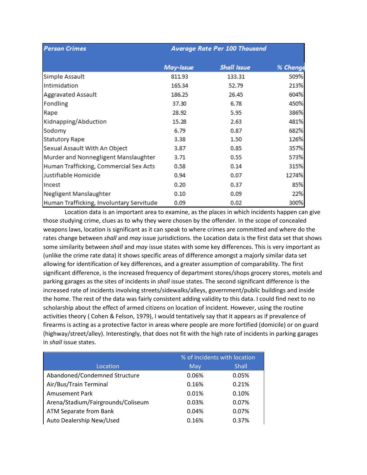| <b>Person Crimes</b>                     | Average Rate Per 100 Thousand |                    |          |
|------------------------------------------|-------------------------------|--------------------|----------|
|                                          | May-Issue                     | <b>Shall Issue</b> | % Change |
| Simple Assault                           | 811.93                        | 133.31             | 509%     |
| Intimidation                             | 165.34                        | 52.79              | 213%     |
| <b>Aggravated Assault</b>                | 186.25                        | 26.45              | 604%     |
| Fondling                                 | 37.30                         | 6.78               | 450%     |
| Rape                                     | 28.92                         | 5.95               | 386%     |
| Kidnapping/Abduction                     | 15.28                         | 2.63               | 481%     |
| Sodomy                                   | 6.79                          | 0.87               | 682%     |
| <b>Statutory Rape</b>                    | 3.38                          | 1.50               | 126%     |
| Sexual Assault With An Object            | 3.87                          | 0.85               | 357%     |
| Murder and Nonnegligent Manslaughter     | 3.71                          | 0.55               | 573%     |
| Human Trafficking, Commercial Sex Acts   | 0.58                          | 0.14               | 315%     |
| Justifiable Homicide                     | 0.94                          | 0.07               | 1274%    |
| Incest                                   | 0.20                          | 0.37               | 85%      |
| Negligent Manslaughter                   | 0.10                          | 0.09               | 22%      |
| Human Trafficking, Involuntary Servitude | 0.09                          | 0.02               | 300%     |

Location data is an important area to examine, as the places in which incidents happen can give those studying crime, clues as to why they were chosen by the offender. In the scope of concealed weapons laws, location is significant as it can speak to where crimes are committed and where do the rates change between *shall* and *may* issue jurisdictions. the Location data is the first data set that shows some similarity between *shall* and *may* issue states with some key differences. This is very important as (unlike the crime rate data) it shows specific areas of difference amongst a majorly similar data set allowing for identification of key differences, and a greater assumption of comparability. The first significant difference, is the increased frequency of department stores/shops grocery stores, motels and parking garages as the sites of incidents in *shall* issue states. The second significant difference is the increased rate of incidents involving streets/sidewalks/alleys, government/public buildings and inside the home. The rest of the data was fairly consistent adding validity to this data. I could find next to no scholarship about the effect of armed citizens on location of incident. However, using the routine activities theory ( Cohen & Felson, 1979), I would tentatively say that it appears as if prevalence of firearms is acting as a protective factor in areas where people are more fortified (domicile) or on guard (highway/street/alley). Interestingly, that does not fit with the high rate of incidents in parking garages in *shall* issue states.

|                                    | % of Incidents with location |              |
|------------------------------------|------------------------------|--------------|
| Location                           | May                          | <b>Shall</b> |
| Abandoned/Condemned Structure      | 0.06%                        | 0.05%        |
| Air/Bus/Train Terminal             | 0.16%                        | 0.21%        |
| <b>Amusement Park</b>              | 0.01%                        | 0.10%        |
| Arena/Stadium/Fairgrounds/Coliseum | 0.03%                        | 0.07%        |
| ATM Separate from Bank             | 0.04%                        | 0.07%        |
| Auto Dealership New/Used           | 0.16%                        | 0.37%        |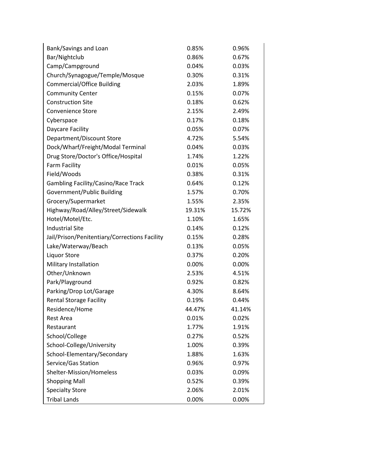| Bank/Savings and Loan                         | 0.85%  | 0.96%  |
|-----------------------------------------------|--------|--------|
| Bar/Nightclub                                 | 0.86%  | 0.67%  |
| Camp/Campground                               | 0.04%  | 0.03%  |
| Church/Synagogue/Temple/Mosque                | 0.30%  | 0.31%  |
| <b>Commercial/Office Building</b>             | 2.03%  | 1.89%  |
| <b>Community Center</b>                       | 0.15%  | 0.07%  |
| <b>Construction Site</b>                      | 0.18%  | 0.62%  |
| <b>Convenience Store</b>                      | 2.15%  | 2.49%  |
| Cyberspace                                    | 0.17%  | 0.18%  |
| Daycare Facility                              | 0.05%  | 0.07%  |
| Department/Discount Store                     | 4.72%  | 5.54%  |
| Dock/Wharf/Freight/Modal Terminal             | 0.04%  | 0.03%  |
| Drug Store/Doctor's Office/Hospital           | 1.74%  | 1.22%  |
| Farm Facility                                 | 0.01%  | 0.05%  |
| Field/Woods                                   | 0.38%  | 0.31%  |
| <b>Gambling Facility/Casino/Race Track</b>    | 0.64%  | 0.12%  |
| Government/Public Building                    | 1.57%  | 0.70%  |
| Grocery/Supermarket                           | 1.55%  | 2.35%  |
| Highway/Road/Alley/Street/Sidewalk            | 19.31% | 15.72% |
| Hotel/Motel/Etc.                              | 1.10%  | 1.65%  |
| <b>Industrial Site</b>                        | 0.14%  | 0.12%  |
| Jail/Prison/Penitentiary/Corrections Facility | 0.15%  | 0.28%  |
| Lake/Waterway/Beach                           | 0.13%  | 0.05%  |
| <b>Liquor Store</b>                           | 0.37%  | 0.20%  |
| Military Installation                         | 0.00%  | 0.00%  |
| Other/Unknown                                 | 2.53%  | 4.51%  |
| Park/Playground                               | 0.92%  | 0.82%  |
| Parking/Drop Lot/Garage                       | 4.30%  | 8.64%  |
| <b>Rental Storage Facility</b>                | 0.19%  | 0.44%  |
| Residence/Home                                | 44.47% | 41.14% |
| <b>Rest Area</b>                              | 0.01%  | 0.02%  |
| Restaurant                                    | 1.77%  | 1.91%  |
| School/College                                | 0.27%  | 0.52%  |
| School-College/University                     | 1.00%  | 0.39%  |
| School-Elementary/Secondary                   | 1.88%  | 1.63%  |
| Service/Gas Station                           | 0.96%  | 0.97%  |
| Shelter-Mission/Homeless                      | 0.03%  | 0.09%  |
| <b>Shopping Mall</b>                          | 0.52%  | 0.39%  |
| <b>Specialty Store</b>                        | 2.06%  | 2.01%  |
| <b>Tribal Lands</b>                           | 0.00%  | 0.00%  |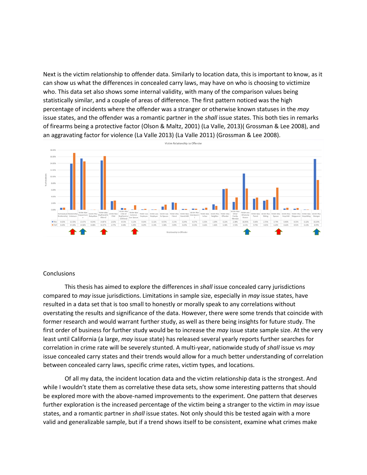Next is the victim relationship to offender data. Similarly to location data, this is important to know, as it can show us what the differences in concealed carry laws, may have on who is choosing to victimize who. This data set also shows some internal validity, with many of the comparison values being statistically similar, and a couple of areas of difference. The first pattern noticed was the high percentage of incidents where the offender was a stranger or otherwise known statuses in the *may* issue states, and the offender was a romantic partner in the *shall* issue states. This both ties in remarks of firearms being a protective factor (Olson & Maltz, 2001) (La Valle, 2013)( Grossman & Lee 2008), and an aggravating factor for violence (La Valle 2013) (La Valle 2011) (Grossman & Lee 2008).



#### **Conclusions**

This thesis has aimed to explore the differences in *shall* issue concealed carry jurisdictions compared to *may* issue jurisdictions. Limitations in sample size, especially in *may* issue states, have resulted in a data set that is too small to honestly or morally speak to any correlations without overstating the results and significance of the data. However, there were some trends that coincide with former research and would warrant further study, as well as there being insights for future study. The first order of business for further study would be to increase the *may* issue state sample size. At the very least until California (a large, *may* issue state) has released several yearly reports further searches for correlation in crime rate will be severely stunted. A multi-year, nationwide study of *shall* issue vs *may* issue concealed carry states and their trends would allow for a much better understanding of correlation between concealed carry laws, specific crime rates, victim types, and locations.

Of all my data, the incident location data and the victim relationship data is the strongest. And while I wouldn't state them as correlative these data sets, show some interesting patterns that should be explored more with the above-named improvements to the experiment. One pattern that deserves further exploration is the increased percentage of the victim being a stranger to the victim in *may* issue states, and a romantic partner in *shall* issue states. Not only should this be tested again with a more valid and generalizable sample, but if a trend shows itself to be consistent, examine what crimes make